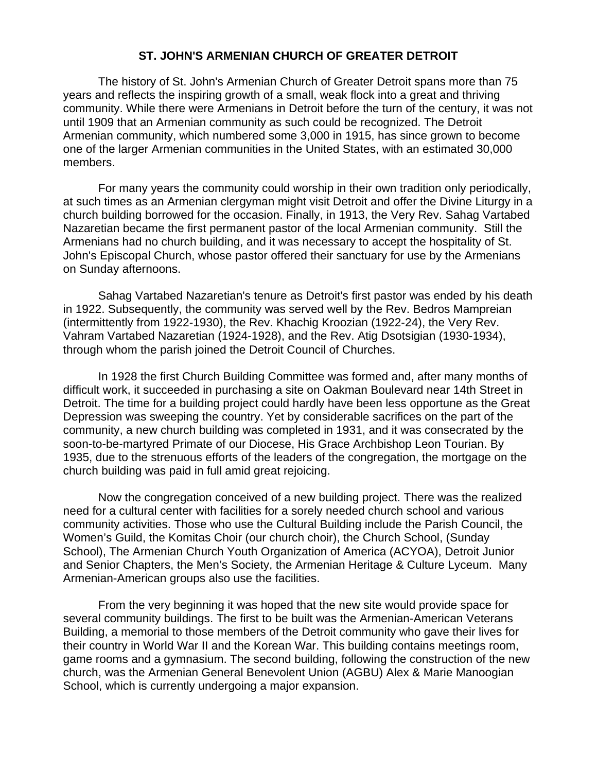## **ST. JOHN'S ARMENIAN CHURCH OF GREATER DETROIT**

The history of St. John's Armenian Church of Greater Detroit spans more than 75 years and reflects the inspiring growth of a small, weak flock into a great and thriving community. While there were Armenians in Detroit before the turn of the century, it was not until 1909 that an Armenian community as such could be recognized. The Detroit Armenian community, which numbered some 3,000 in 1915, has since grown to become one of the larger Armenian communities in the United States, with an estimated 30,000 members.

For many years the community could worship in their own tradition only periodically, at such times as an Armenian clergyman might visit Detroit and offer the Divine Liturgy in a church building borrowed for the occasion. Finally, in 1913, the Very Rev. Sahag Vartabed Nazaretian became the first permanent pastor of the local Armenian community. Still the Armenians had no church building, and it was necessary to accept the hospitality of St. John's Episcopal Church, whose pastor offered their sanctuary for use by the Armenians on Sunday afternoons.

Sahag Vartabed Nazaretian's tenure as Detroit's first pastor was ended by his death in 1922. Subsequently, the community was served well by the Rev. Bedros Mampreian (intermittently from 1922-1930), the Rev. Khachig Kroozian (1922-24), the Very Rev. Vahram Vartabed Nazaretian (1924-1928), and the Rev. Atig Dsotsigian (1930-1934), through whom the parish joined the Detroit Council of Churches.

In 1928 the first Church Building Committee was formed and, after many months of difficult work, it succeeded in purchasing a site on Oakman Boulevard near 14th Street in Detroit. The time for a building project could hardly have been less opportune as the Great Depression was sweeping the country. Yet by considerable sacrifices on the part of the community, a new church building was completed in 1931, and it was consecrated by the soon-to-be-martyred Primate of our Diocese, His Grace Archbishop Leon Tourian. By 1935, due to the strenuous efforts of the leaders of the congregation, the mortgage on the church building was paid in full amid great rejoicing.

Now the congregation conceived of a new building project. There was the realized need for a cultural center with facilities for a sorely needed church school and various community activities. Those who use the Cultural Building include the Parish Council, the Women's Guild, the Komitas Choir (our church choir), the Church School, (Sunday School), The Armenian Church Youth Organization of America (ACYOA), Detroit Junior and Senior Chapters, the Men's Society, the Armenian Heritage & Culture Lyceum. Many Armenian-American groups also use the facilities.

From the very beginning it was hoped that the new site would provide space for several community buildings. The first to be built was the Armenian-American Veterans Building, a memorial to those members of the Detroit community who gave their lives for their country in World War II and the Korean War. This building contains meetings room, game rooms and a gymnasium. The second building, following the construction of the new church, was the Armenian General Benevolent Union (AGBU) Alex & Marie Manoogian School, which is currently undergoing a major expansion.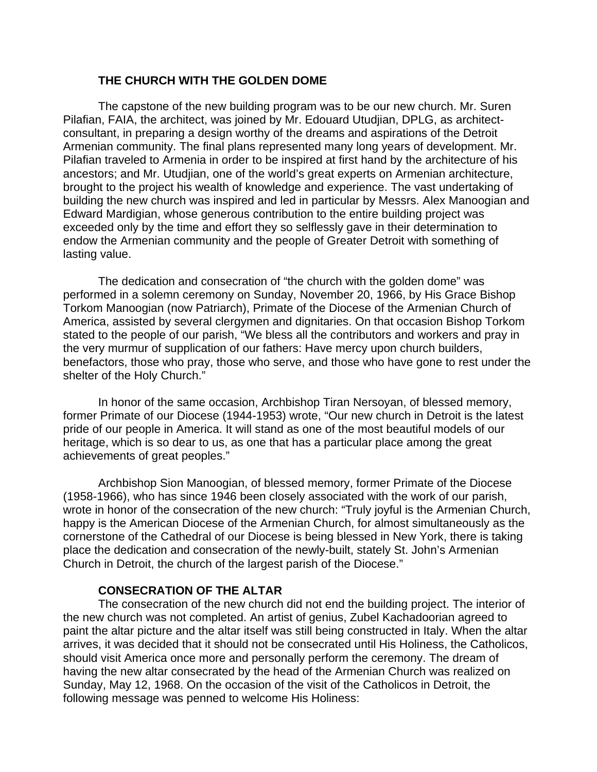## **THE CHURCH WITH THE GOLDEN DOME**

The capstone of the new building program was to be our new church. Mr. Suren Pilafian, FAIA, the architect, was joined by Mr. Edouard Utudjian, DPLG, as architectconsultant, in preparing a design worthy of the dreams and aspirations of the Detroit Armenian community. The final plans represented many long years of development. Mr. Pilafian traveled to Armenia in order to be inspired at first hand by the architecture of his ancestors; and Mr. Utudjian, one of the world's great experts on Armenian architecture, brought to the project his wealth of knowledge and experience. The vast undertaking of building the new church was inspired and led in particular by Messrs. Alex Manoogian and Edward Mardigian, whose generous contribution to the entire building project was exceeded only by the time and effort they so selflessly gave in their determination to endow the Armenian community and the people of Greater Detroit with something of lasting value.

The dedication and consecration of "the church with the golden dome" was performed in a solemn ceremony on Sunday, November 20, 1966, by His Grace Bishop Torkom Manoogian (now Patriarch), Primate of the Diocese of the Armenian Church of America, assisted by several clergymen and dignitaries. On that occasion Bishop Torkom stated to the people of our parish, "We bless all the contributors and workers and pray in the very murmur of supplication of our fathers: Have mercy upon church builders, benefactors, those who pray, those who serve, and those who have gone to rest under the shelter of the Holy Church."

In honor of the same occasion, Archbishop Tiran Nersoyan, of blessed memory, former Primate of our Diocese (1944-1953) wrote, "Our new church in Detroit is the latest pride of our people in America. It will stand as one of the most beautiful models of our heritage, which is so dear to us, as one that has a particular place among the great achievements of great peoples."

Archbishop Sion Manoogian, of blessed memory, former Primate of the Diocese (1958-1966), who has since 1946 been closely associated with the work of our parish, wrote in honor of the consecration of the new church: "Truly joyful is the Armenian Church, happy is the American Diocese of the Armenian Church, for almost simultaneously as the cornerstone of the Cathedral of our Diocese is being blessed in New York, there is taking place the dedication and consecration of the newly-built, stately St. John's Armenian Church in Detroit, the church of the largest parish of the Diocese."

## **CONSECRATION OF THE ALTAR**

The consecration of the new church did not end the building project. The interior of the new church was not completed. An artist of genius, Zubel Kachadoorian agreed to paint the altar picture and the altar itself was still being constructed in Italy. When the altar arrives, it was decided that it should not be consecrated until His Holiness, the Catholicos, should visit America once more and personally perform the ceremony. The dream of having the new altar consecrated by the head of the Armenian Church was realized on Sunday, May 12, 1968. On the occasion of the visit of the Catholicos in Detroit, the following message was penned to welcome His Holiness: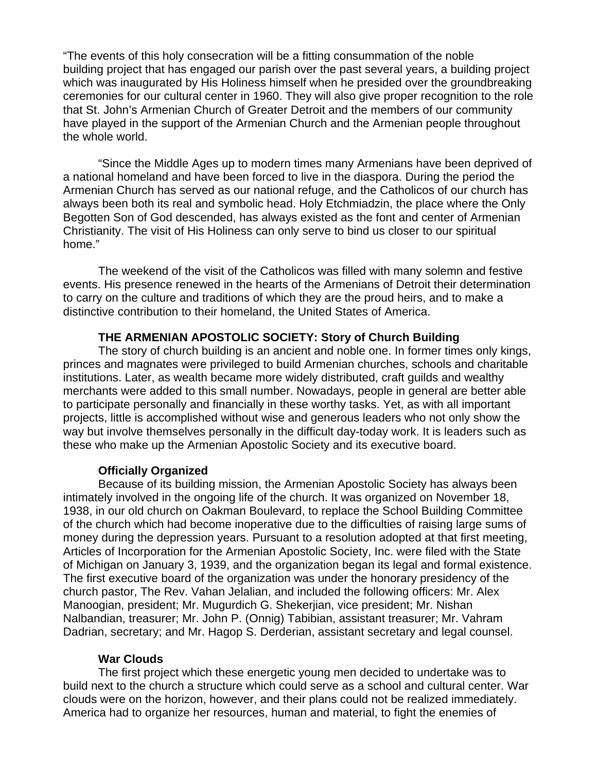"The events of this holy consecration will be a fitting consummation of the noble building project that has engaged our parish over the past several years, a building project which was inaugurated by His Holiness himself when he presided over the groundbreaking ceremonies for our cultural center in 1960. They will also give proper recognition to the role that St. John's Armenian Church of Greater Detroit and the members of our community have played in the support of the Armenian Church and the Armenian people throughout the whole world.

"Since the Middle Ages up to modern times many Armenians have been deprived of a national homeland and have been forced to live in the diaspora. During the period the Armenian Church has served as our national refuge, and the Catholicos of our church has always been both its real and symbolic head. Holy Etchmiadzin, the place where the Only Begotten Son of God descended, has always existed as the font and center of Armenian Christianity. The visit of His Holiness can only serve to bind us closer to our spiritual home."

The weekend of the visit of the Catholicos was filled with many solemn and festive events. His presence renewed in the hearts of the Armenians of Detroit their determination to carry on the culture and traditions of which they are the proud heirs, and to make a distinctive contribution to their homeland, the United States of America.

#### **THE ARMENIAN APOSTOLIC SOCIETY: Story of Church Building**

The story of church building is an ancient and noble one. In former times only kings, princes and magnates were privileged to build Armenian churches, schools and charitable institutions. Later, as wealth became more widely distributed, craft guilds and wealthy merchants were added to this small number. Nowadays, people in general are better able to participate personally and financially in these worthy tasks. Yet, as with all important projects, little is accomplished without wise and generous leaders who not only show the way but involve themselves personally in the difficult day-today work. It is leaders such as these who make up the Armenian Apostolic Society and its executive board.

#### **Officially Organized**

Because of its building mission, the Armenian Apostolic Society has always been intimately involved in the ongoing life of the church. It was organized on November 18, 1938, in our old church on Oakman Boulevard, to replace the School Building Committee of the church which had become inoperative due to the difficulties of raising large sums of money during the depression years. Pursuant to a resolution adopted at that first meeting, Articles of Incorporation for the Armenian Apostolic Society, Inc. were filed with the State of Michigan on January 3, 1939, and the organization began its legal and formal existence. The first executive board of the organization was under the honorary presidency of the church pastor, The Rev. Vahan Jelalian, and included the following officers: Mr. Alex Manoogian, president; Mr. Mugurdich G. Shekerjian, vice president; Mr. Nishan Nalbandian, treasurer; Mr. John P. (Onnig) Tabibian, assistant treasurer; Mr. Vahram Dadrian, secretary; and Mr. Hagop S. Derderian, assistant secretary and legal counsel.

#### **War Clouds**

The first project which these energetic young men decided to undertake was to build next to the church a structure which could serve as a school and cultural center. War clouds were on the horizon, however, and their plans could not be realized immediately. America had to organize her resources, human and material, to fight the enemies of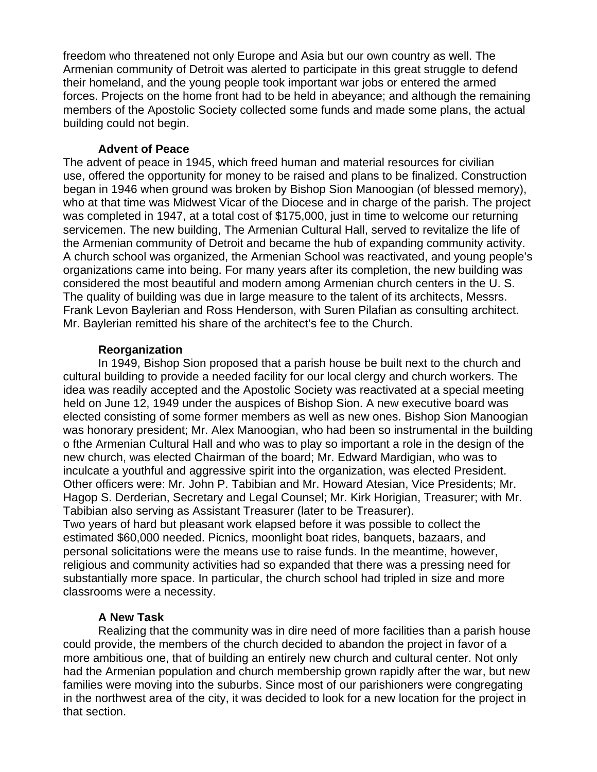freedom who threatened not only Europe and Asia but our own country as well. The Armenian community of Detroit was alerted to participate in this great struggle to defend their homeland, and the young people took important war jobs or entered the armed forces. Projects on the home front had to be held in abeyance; and although the remaining members of the Apostolic Society collected some funds and made some plans, the actual building could not begin.

### **Advent of Peace**

The advent of peace in 1945, which freed human and material resources for civilian use, offered the opportunity for money to be raised and plans to be finalized. Construction began in 1946 when ground was broken by Bishop Sion Manoogian (of blessed memory), who at that time was Midwest Vicar of the Diocese and in charge of the parish. The project was completed in 1947, at a total cost of \$175,000, just in time to welcome our returning servicemen. The new building, The Armenian Cultural Hall, served to revitalize the life of the Armenian community of Detroit and became the hub of expanding community activity. A church school was organized, the Armenian School was reactivated, and young people's organizations came into being. For many years after its completion, the new building was considered the most beautiful and modern among Armenian church centers in the U. S. The quality of building was due in large measure to the talent of its architects, Messrs. Frank Levon Baylerian and Ross Henderson, with Suren Pilafian as consulting architect. Mr. Baylerian remitted his share of the architect's fee to the Church.

## **Reorganization**

In 1949, Bishop Sion proposed that a parish house be built next to the church and cultural building to provide a needed facility for our local clergy and church workers. The idea was readily accepted and the Apostolic Society was reactivated at a special meeting held on June 12, 1949 under the auspices of Bishop Sion. A new executive board was elected consisting of some former members as well as new ones. Bishop Sion Manoogian was honorary president; Mr. Alex Manoogian, who had been so instrumental in the building o fthe Armenian Cultural Hall and who was to play so important a role in the design of the new church, was elected Chairman of the board; Mr. Edward Mardigian, who was to inculcate a youthful and aggressive spirit into the organization, was elected President. Other officers were: Mr. John P. Tabibian and Mr. Howard Atesian, Vice Presidents; Mr. Hagop S. Derderian, Secretary and Legal Counsel; Mr. Kirk Horigian, Treasurer; with Mr. Tabibian also serving as Assistant Treasurer (later to be Treasurer).

Two years of hard but pleasant work elapsed before it was possible to collect the estimated \$60,000 needed. Picnics, moonlight boat rides, banquets, bazaars, and personal solicitations were the means use to raise funds. In the meantime, however, religious and community activities had so expanded that there was a pressing need for substantially more space. In particular, the church school had tripled in size and more classrooms were a necessity.

## **A New Task**

Realizing that the community was in dire need of more facilities than a parish house could provide, the members of the church decided to abandon the project in favor of a more ambitious one, that of building an entirely new church and cultural center. Not only had the Armenian population and church membership grown rapidly after the war, but new families were moving into the suburbs. Since most of our parishioners were congregating in the northwest area of the city, it was decided to look for a new location for the project in that section.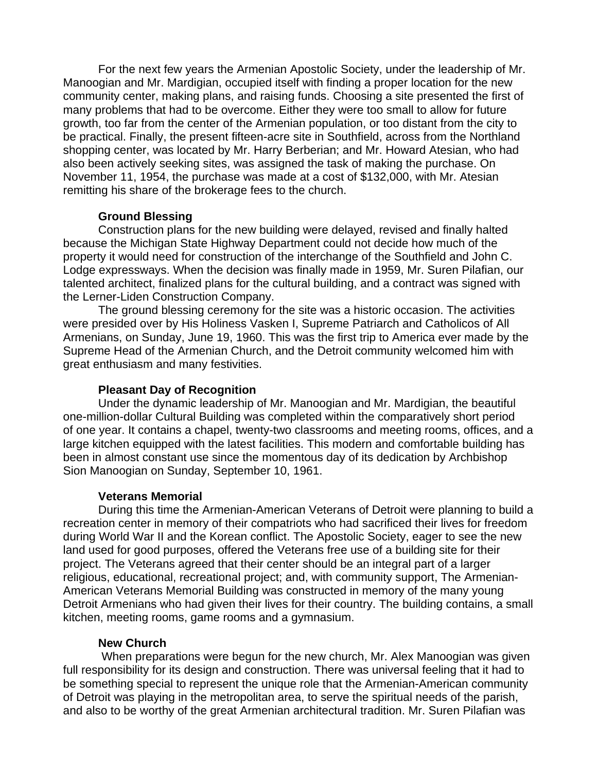For the next few years the Armenian Apostolic Society, under the leadership of Mr. Manoogian and Mr. Mardigian, occupied itself with finding a proper location for the new community center, making plans, and raising funds. Choosing a site presented the first of many problems that had to be overcome. Either they were too small to allow for future growth, too far from the center of the Armenian population, or too distant from the city to be practical. Finally, the present fifteen-acre site in Southfield, across from the Northland shopping center, was located by Mr. Harry Berberian; and Mr. Howard Atesian, who had also been actively seeking sites, was assigned the task of making the purchase. On November 11, 1954, the purchase was made at a cost of \$132,000, with Mr. Atesian remitting his share of the brokerage fees to the church.

## **Ground Blessing**

Construction plans for the new building were delayed, revised and finally halted because the Michigan State Highway Department could not decide how much of the property it would need for construction of the interchange of the Southfield and John C. Lodge expressways. When the decision was finally made in 1959, Mr. Suren Pilafian, our talented architect, finalized plans for the cultural building, and a contract was signed with the Lerner-Liden Construction Company.

The ground blessing ceremony for the site was a historic occasion. The activities were presided over by His Holiness Vasken I, Supreme Patriarch and Catholicos of All Armenians, on Sunday, June 19, 1960. This was the first trip to America ever made by the Supreme Head of the Armenian Church, and the Detroit community welcomed him with great enthusiasm and many festivities.

### **Pleasant Day of Recognition**

Under the dynamic leadership of Mr. Manoogian and Mr. Mardigian, the beautiful one-million-dollar Cultural Building was completed within the comparatively short period of one year. It contains a chapel, twenty-two classrooms and meeting rooms, offices, and a large kitchen equipped with the latest facilities. This modern and comfortable building has been in almost constant use since the momentous day of its dedication by Archbishop Sion Manoogian on Sunday, September 10, 1961.

#### **Veterans Memorial**

During this time the Armenian-American Veterans of Detroit were planning to build a recreation center in memory of their compatriots who had sacrificed their lives for freedom during World War II and the Korean conflict. The Apostolic Society, eager to see the new land used for good purposes, offered the Veterans free use of a building site for their project. The Veterans agreed that their center should be an integral part of a larger religious, educational, recreational project; and, with community support, The Armenian-American Veterans Memorial Building was constructed in memory of the many young Detroit Armenians who had given their lives for their country. The building contains, a small kitchen, meeting rooms, game rooms and a gymnasium.

#### **New Church**

 When preparations were begun for the new church, Mr. Alex Manoogian was given full responsibility for its design and construction. There was universal feeling that it had to be something special to represent the unique role that the Armenian-American community of Detroit was playing in the metropolitan area, to serve the spiritual needs of the parish, and also to be worthy of the great Armenian architectural tradition. Mr. Suren Pilafian was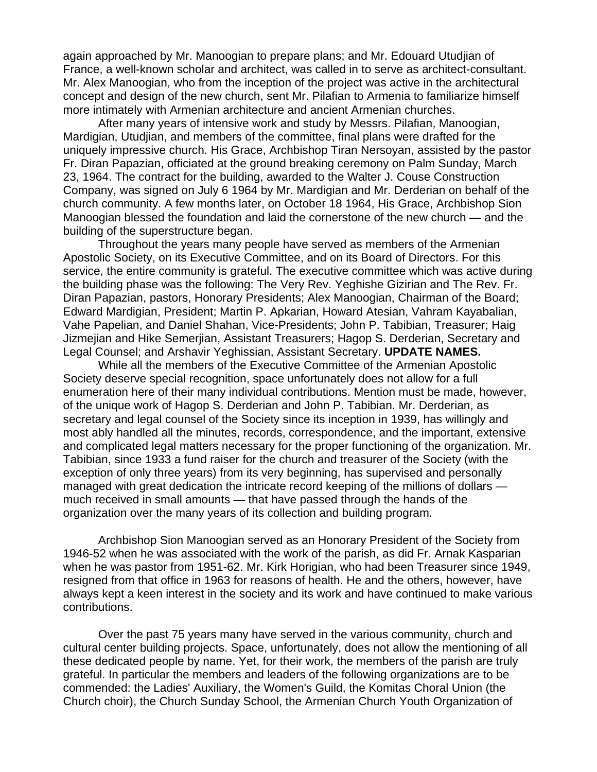again approached by Mr. Manoogian to prepare plans; and Mr. Edouard Utudjian of France, a well-known scholar and architect, was called in to serve as architect-consultant. Mr. Alex Manoogian, who from the inception of the project was active in the architectural concept and design of the new church, sent Mr. Pilafian to Armenia to familiarize himself more intimately with Armenian architecture and ancient Armenian churches.

After many years of intensive work and study by Messrs. Pilafian, Manoogian, Mardigian, Utudjian, and members of the committee, final plans were drafted for the uniquely impressive church. His Grace, Archbishop Tiran Nersoyan, assisted by the pastor Fr. Diran Papazian, officiated at the ground breaking ceremony on Palm Sunday, March 23, 1964. The contract for the building, awarded to the Walter J. Couse Construction Company, was signed on July 6 1964 by Mr. Mardigian and Mr. Derderian on behalf of the church community. A few months later, on October 18 1964, His Grace, Archbishop Sion Manoogian blessed the foundation and laid the cornerstone of the new church — and the building of the superstructure began.

Throughout the years many people have served as members of the Armenian Apostolic Society, on its Executive Committee, and on its Board of Directors. For this service, the entire community is grateful. The executive committee which was active during the building phase was the following: The Very Rev. Yeghishe Gizirian and The Rev. Fr. Diran Papazian, pastors, Honorary Presidents; Alex Manoogian, Chairman of the Board; Edward Mardigian, President; Martin P. Apkarian, Howard Atesian, Vahram Kayabalian, Vahe Papelian, and Daniel Shahan, Vice-Presidents; John P. Tabibian, Treasurer; Haig Jizmejian and Hike Semerjian, Assistant Treasurers; Hagop S. Derderian, Secretary and Legal Counsel; and Arshavir Yeghissian, Assistant Secretary. **UPDATE NAMES.**

While all the members of the Executive Committee of the Armenian Apostolic Society deserve special recognition, space unfortunately does not allow for a full enumeration here of their many individual contributions. Mention must be made, however, of the unique work of Hagop S. Derderian and John P. Tabibian. Mr. Derderian, as secretary and legal counsel of the Society since its inception in 1939, has willingly and most ably handled all the minutes, records, correspondence, and the important, extensive and complicated legal matters necessary for the proper functioning of the organization. Mr. Tabibian, since 1933 a fund raiser for the church and treasurer of the Society (with the exception of only three years) from its very beginning, has supervised and personally managed with great dedication the intricate record keeping of the millions of dollars much received in small amounts — that have passed through the hands of the organization over the many years of its collection and building program.

Archbishop Sion Manoogian served as an Honorary President of the Society from 1946-52 when he was associated with the work of the parish, as did Fr. Arnak Kasparian when he was pastor from 1951-62. Mr. Kirk Horigian, who had been Treasurer since 1949, resigned from that office in 1963 for reasons of health. He and the others, however, have always kept a keen interest in the society and its work and have continued to make various contributions.

Over the past 75 years many have served in the various community, church and cultural center building projects. Space, unfortunately, does not allow the mentioning of all these dedicated people by name. Yet, for their work, the members of the parish are truly grateful. In particular the members and leaders of the following organizations are to be commended: the Ladies' Auxiliary, the Women's Guild, the Komitas Choral Union (the Church choir), the Church Sunday School, the Armenian Church Youth Organization of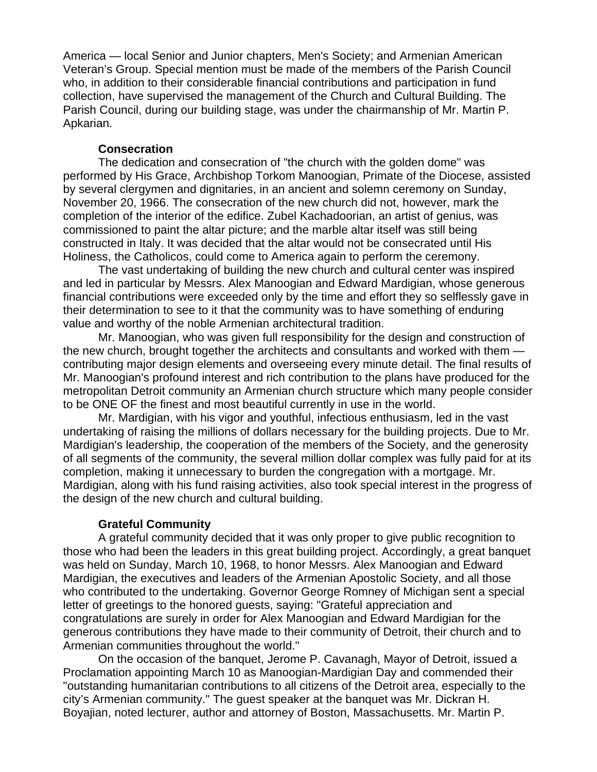America — local Senior and Junior chapters, Men's Society; and Armenian American Veteran's Group. Special mention must be made of the members of the Parish Council who, in addition to their considerable financial contributions and participation in fund collection, have supervised the management of the Church and Cultural Building. The Parish Council, during our building stage, was under the chairmanship of Mr. Martin P. Apkarian.

### **Consecration**

The dedication and consecration of "the church with the golden dome" was performed by His Grace, Archbishop Torkom Manoogian, Primate of the Diocese, assisted by several clergymen and dignitaries, in an ancient and solemn ceremony on Sunday, November 20, 1966. The consecration of the new church did not, however, mark the completion of the interior of the edifice. Zubel Kachadoorian, an artist of genius, was commissioned to paint the altar picture; and the marble altar itself was still being constructed in Italy. It was decided that the altar would not be consecrated until His Holiness, the Catholicos, could come to America again to perform the ceremony.

The vast undertaking of building the new church and cultural center was inspired and led in particular by Messrs. Alex Manoogian and Edward Mardigian, whose generous financial contributions were exceeded only by the time and effort they so selflessly gave in their determination to see to it that the community was to have something of enduring value and worthy of the noble Armenian architectural tradition.

Mr. Manoogian, who was given full responsibility for the design and construction of the new church, brought together the architects and consultants and worked with them contributing major design elements and overseeing every minute detail. The final results of Mr. Manoogian's profound interest and rich contribution to the plans have produced for the metropolitan Detroit community an Armenian church structure which many people consider to be ONE OF the finest and most beautiful currently in use in the world.

Mr. Mardigian, with his vigor and youthful, infectious enthusiasm, led in the vast undertaking of raising the millions of dollars necessary for the building projects. Due to Mr. Mardigian's leadership, the cooperation of the members of the Society, and the generosity of all segments of the community, the several million dollar complex was fully paid for at its completion, making it unnecessary to burden the congregation with a mortgage. Mr. Mardigian, along with his fund raising activities, also took special interest in the progress of the design of the new church and cultural building.

## **Grateful Community**

A grateful community decided that it was only proper to give public recognition to those who had been the leaders in this great building project. Accordingly, a great banquet was held on Sunday, March 10, 1968, to honor Messrs. Alex Manoogian and Edward Mardigian, the executives and leaders of the Armenian Apostolic Society, and all those who contributed to the undertaking. Governor George Romney of Michigan sent a special letter of greetings to the honored guests, saying: "Grateful appreciation and congratulations are surely in order for Alex Manoogian and Edward Mardigian for the generous contributions they have made to their community of Detroit, their church and to Armenian communities throughout the world."

On the occasion of the banquet, Jerome P. Cavanagh, Mayor of Detroit, issued a Proclamation appointing March 10 as Manoogian-Mardigian Day and commended their "outstanding humanitarian contributions to all citizens of the Detroit area, especially to the city's Armenian community." The guest speaker at the banquet was Mr. Dickran H. Boyajian, noted lecturer, author and attorney of Boston, Massachusetts. Mr. Martin P.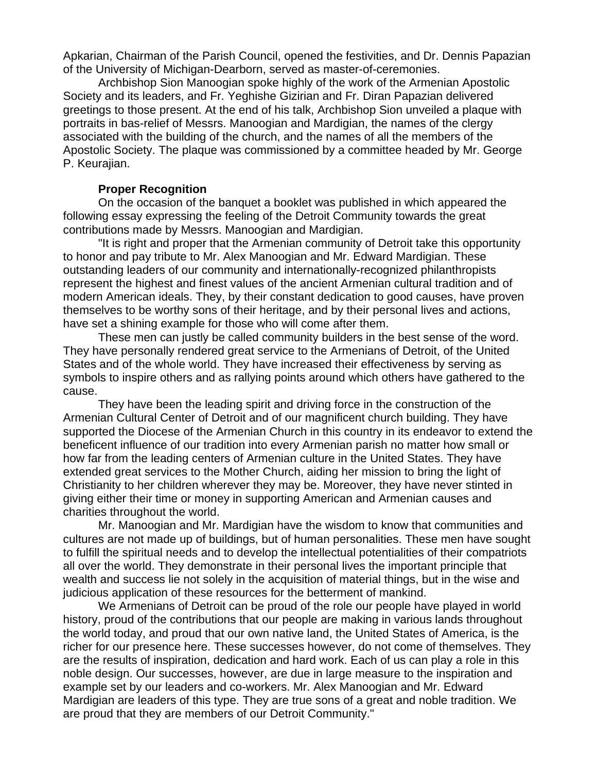Apkarian, Chairman of the Parish Council, opened the festivities, and Dr. Dennis Papazian of the University of Michigan-Dearborn, served as master-of-ceremonies.

Archbishop Sion Manoogian spoke highly of the work of the Armenian Apostolic Society and its leaders, and Fr. Yeghishe Gizirian and Fr. Diran Papazian delivered greetings to those present. At the end of his talk, Archbishop Sion unveiled a plaque with portraits in bas-relief of Messrs. Manoogian and Mardigian, the names of the clergy associated with the building of the church, and the names of all the members of the Apostolic Society. The plaque was commissioned by a committee headed by Mr. George P. Keurajian.

## **Proper Recognition**

On the occasion of the banquet a booklet was published in which appeared the following essay expressing the feeling of the Detroit Community towards the great contributions made by Messrs. Manoogian and Mardigian.

"It is right and proper that the Armenian community of Detroit take this opportunity to honor and pay tribute to Mr. Alex Manoogian and Mr. Edward Mardigian. These outstanding leaders of our community and internationally-recognized philanthropists represent the highest and finest values of the ancient Armenian cultural tradition and of modern American ideals. They, by their constant dedication to good causes, have proven themselves to be worthy sons of their heritage, and by their personal lives and actions, have set a shining example for those who will come after them.

These men can justly be called community builders in the best sense of the word. They have personally rendered great service to the Armenians of Detroit, of the United States and of the whole world. They have increased their effectiveness by serving as symbols to inspire others and as rallying points around which others have gathered to the cause.

They have been the leading spirit and driving force in the construction of the Armenian Cultural Center of Detroit and of our magnificent church building. They have supported the Diocese of the Armenian Church in this country in its endeavor to extend the beneficent influence of our tradition into every Armenian parish no matter how small or how far from the leading centers of Armenian culture in the United States. They have extended great services to the Mother Church, aiding her mission to bring the light of Christianity to her children wherever they may be. Moreover, they have never stinted in giving either their time or money in supporting American and Armenian causes and charities throughout the world.

Mr. Manoogian and Mr. Mardigian have the wisdom to know that communities and cultures are not made up of buildings, but of human personalities. These men have sought to fulfill the spiritual needs and to develop the intellectual potentialities of their compatriots all over the world. They demonstrate in their personal lives the important principle that wealth and success lie not solely in the acquisition of material things, but in the wise and judicious application of these resources for the betterment of mankind.

We Armenians of Detroit can be proud of the role our people have played in world history, proud of the contributions that our people are making in various lands throughout the world today, and proud that our own native land, the United States of America, is the richer for our presence here. These successes however, do not come of themselves. They are the results of inspiration, dedication and hard work. Each of us can play a role in this noble design. Our successes, however, are due in large measure to the inspiration and example set by our leaders and co-workers. Mr. Alex Manoogian and Mr. Edward Mardigian are leaders of this type. They are true sons of a great and noble tradition. We are proud that they are members of our Detroit Community."